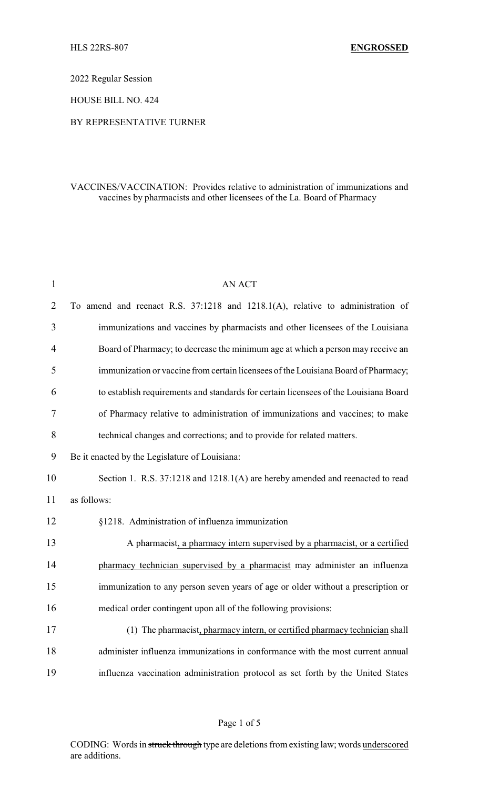2022 Regular Session

HOUSE BILL NO. 424

## BY REPRESENTATIVE TURNER

## VACCINES/VACCINATION: Provides relative to administration of immunizations and vaccines by pharmacists and other licensees of the La. Board of Pharmacy

| $\mathbf{1}$   | <b>AN ACT</b>                                                                        |
|----------------|--------------------------------------------------------------------------------------|
| $\overline{2}$ | To amend and reenact R.S. 37:1218 and 1218.1(A), relative to administration of       |
| 3              | immunizations and vaccines by pharmacists and other licensees of the Louisiana       |
| $\overline{4}$ | Board of Pharmacy; to decrease the minimum age at which a person may receive an      |
| 5              | immunization or vaccine from certain licensees of the Louisiana Board of Pharmacy;   |
| 6              | to establish requirements and standards for certain licensees of the Louisiana Board |
| 7              | of Pharmacy relative to administration of immunizations and vaccines; to make        |
| 8              | technical changes and corrections; and to provide for related matters.               |
| 9              | Be it enacted by the Legislature of Louisiana:                                       |
| 10             | Section 1. R.S. 37:1218 and 1218.1(A) are hereby amended and reenacted to read       |
| 11             | as follows:                                                                          |
| 12             | §1218. Administration of influenza immunization                                      |
| 13             | A pharmacist, a pharmacy intern supervised by a pharmacist, or a certified           |
| 14             | pharmacy technician supervised by a pharmacist may administer an influenza           |
| 15             | immunization to any person seven years of age or older without a prescription or     |
| 16             | medical order contingent upon all of the following provisions:                       |
| 17             | (1) The pharmacist, pharmacy intern, or certified pharmacy technician shall          |
| 18             | administer influenza immunizations in conformance with the most current annual       |
| 19             | influenza vaccination administration protocol as set forth by the United States      |

CODING: Words in struck through type are deletions from existing law; words underscored are additions.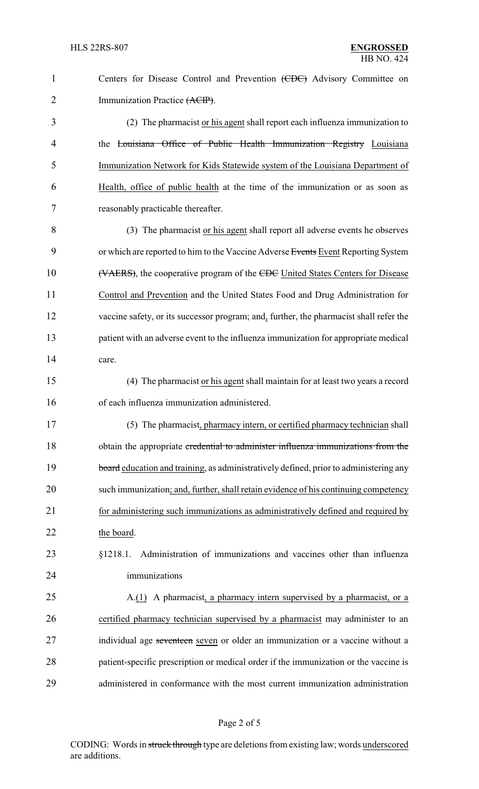| $\mathbf{1}$   | Centers for Disease Control and Prevention (CDC) Advisory Committee on                 |
|----------------|----------------------------------------------------------------------------------------|
| $\overline{2}$ | Immunization Practice (ACIP).                                                          |
| 3              | (2) The pharmacist or his agent shall report each influenza immunization to            |
| 4              | the Louisiana Office of Public Health Immunization Registry Louisiana                  |
| 5              | Immunization Network for Kids Statewide system of the Louisiana Department of          |
| 6              | Health, office of public health at the time of the immunization or as soon as          |
| 7              | reasonably practicable thereafter.                                                     |
| 8              | (3) The pharmacist or his agent shall report all adverse events he observes            |
| 9              | or which are reported to him to the Vaccine Adverse Events Event Reporting System      |
| 10             | (VAERS), the cooperative program of the CDC United States Centers for Disease          |
| 11             | Control and Prevention and the United States Food and Drug Administration for          |
| 12             | vaccine safety, or its successor program; and, further, the pharmacist shall refer the |
| 13             | patient with an adverse event to the influenza immunization for appropriate medical    |
| 14             | care.                                                                                  |
| 15             | (4) The pharmacist or his agent shall maintain for at least two years a record         |
| 16             | of each influenza immunization administered.                                           |
| 17             | (5) The pharmacist, pharmacy intern, or certified pharmacy technician shall            |
| 18             | obtain the appropriate credential to administer influenza immunizations from the       |
| 19             | board education and training, as administratively defined, prior to administering any  |
| 20             | such immunization; and, further, shall retain evidence of his continuing competency    |
| 21             | for administering such immunizations as administratively defined and required by       |
| 22             | the board.                                                                             |
| 23             | Administration of immunizations and vaccines other than influenza<br>§1218.1.          |
| 24             | immunizations                                                                          |
| 25             | A.(1) A pharmacist, a pharmacy intern supervised by a pharmacist, or a                 |
| 26             | certified pharmacy technician supervised by a pharmacist may administer to an          |
| 27             | individual age seventeen seven or older an immunization or a vaccine without a         |
| 28             | patient-specific prescription or medical order if the immunization or the vaccine is   |
| 29             | administered in conformance with the most current immunization administration          |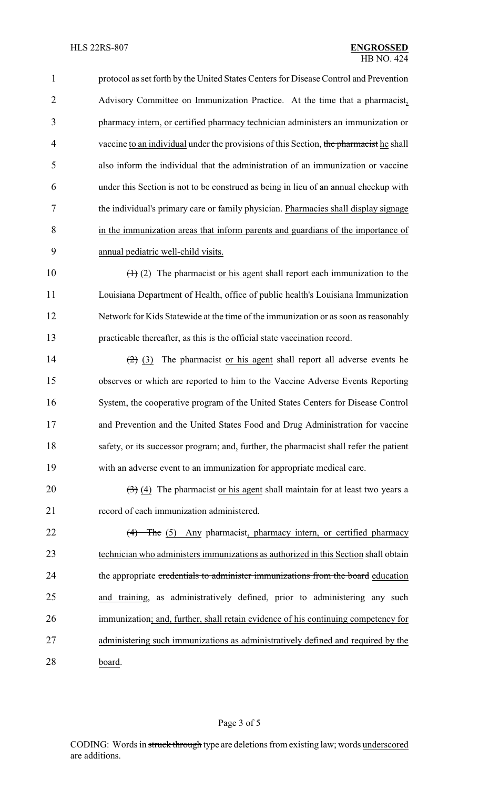| $\mathbf{1}$   | protocol as set forth by the United States Centers for Disease Control and Prevention              |
|----------------|----------------------------------------------------------------------------------------------------|
| $\overline{2}$ | Advisory Committee on Immunization Practice. At the time that a pharmacist,                        |
| 3              | pharmacy intern, or certified pharmacy technician administers an immunization or                   |
| $\overline{4}$ | vaccine to an individual under the provisions of this Section, the pharmacist he shall             |
| 5              | also inform the individual that the administration of an immunization or vaccine                   |
| 6              | under this Section is not to be construed as being in lieu of an annual checkup with               |
| 7              | the individual's primary care or family physician. Pharmacies shall display signage                |
| 8              | in the immunization areas that inform parents and guardians of the importance of                   |
| 9              | annual pediatric well-child visits.                                                                |
| 10             | $(1)$ (2) The pharmacist or his agent shall report each immunization to the                        |
| 11             | Louisiana Department of Health, office of public health's Louisiana Immunization                   |
| 12             | Network for Kids Statewide at the time of the immunization or as soon as reasonably                |
| 13             | practicable thereafter, as this is the official state vaccination record.                          |
| 14             | $(2)$ (3) The pharmacist or his agent shall report all adverse events he                           |
| 15             | observes or which are reported to him to the Vaccine Adverse Events Reporting                      |
| 16             | System, the cooperative program of the United States Centers for Disease Control                   |
| 17             | and Prevention and the United States Food and Drug Administration for vaccine                      |
| 18             | safety, or its successor program; and, further, the pharmacist shall refer the patient             |
| 19             | with an adverse event to an immunization for appropriate medical care.                             |
| 20             | $\left(\frac{1}{2}\right)$ (4) The pharmacist or his agent shall maintain for at least two years a |
| 21             | record of each immunization administered.                                                          |
| 22             | $(4)$ The (5) Any pharmacist, pharmacy intern, or certified pharmacy                               |
| 23             | technician who administers immunizations as authorized in this Section shall obtain                |
| 24             | the appropriate credentials to administer immunizations from the board education                   |
| 25             | and training, as administratively defined, prior to administering any such                         |
| 26             | immunization; and, further, shall retain evidence of his continuing competency for                 |
| 27             | administering such immunizations as administratively defined and required by the                   |
| 28             | board.                                                                                             |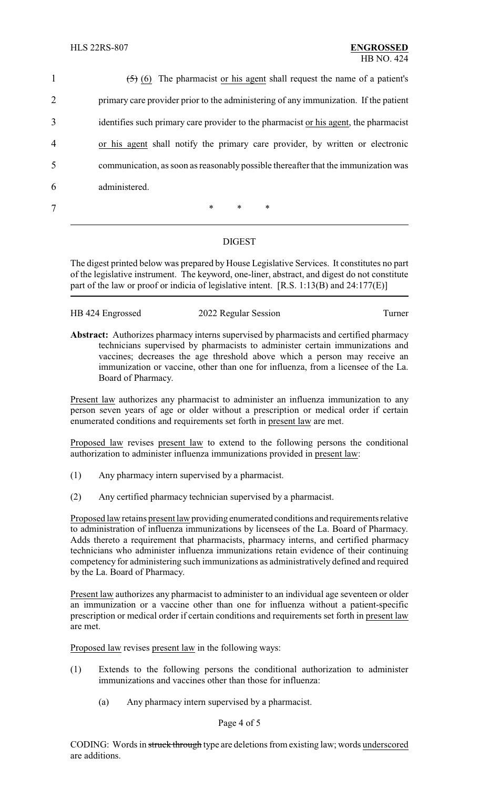$(5)$  (6) The pharmacist or his agent shall request the name of a patient's primary care provider prior to the administering of any immunization. If the patient identifies such primary care provider to the pharmacist or his agent, the pharmacist or his agent shall notify the primary care provider, by written or electronic communication, as soon as reasonablypossible thereafter that the immunization was administered. 7 \* \* \* \*

## DIGEST

The digest printed below was prepared by House Legislative Services. It constitutes no part of the legislative instrument. The keyword, one-liner, abstract, and digest do not constitute part of the law or proof or indicia of legislative intent. [R.S. 1:13(B) and 24:177(E)]

2022 Regular Session Turner

**Abstract:** Authorizes pharmacy interns supervised by pharmacists and certified pharmacy technicians supervised by pharmacists to administer certain immunizations and vaccines; decreases the age threshold above which a person may receive an immunization or vaccine, other than one for influenza, from a licensee of the La. Board of Pharmacy.

Present law authorizes any pharmacist to administer an influenza immunization to any person seven years of age or older without a prescription or medical order if certain enumerated conditions and requirements set forth in present law are met.

Proposed law revises present law to extend to the following persons the conditional authorization to administer influenza immunizations provided in present law:

- (1) Any pharmacy intern supervised by a pharmacist.
- (2) Any certified pharmacy technician supervised by a pharmacist.

Proposed law retains present law providing enumerated conditions and requirements relative to administration of influenza immunizations by licensees of the La. Board of Pharmacy. Adds thereto a requirement that pharmacists, pharmacy interns, and certified pharmacy technicians who administer influenza immunizations retain evidence of their continuing competency for administering such immunizations as administratively defined and required by the La. Board of Pharmacy.

Present law authorizes any pharmacist to administer to an individual age seventeen or older an immunization or a vaccine other than one for influenza without a patient-specific prescription or medical order if certain conditions and requirements set forth in present law are met.

Proposed law revises present law in the following ways:

- (1) Extends to the following persons the conditional authorization to administer immunizations and vaccines other than those for influenza:
	- (a) Any pharmacy intern supervised by a pharmacist.

## Page 4 of 5

CODING: Words in struck through type are deletions from existing law; words underscored are additions.